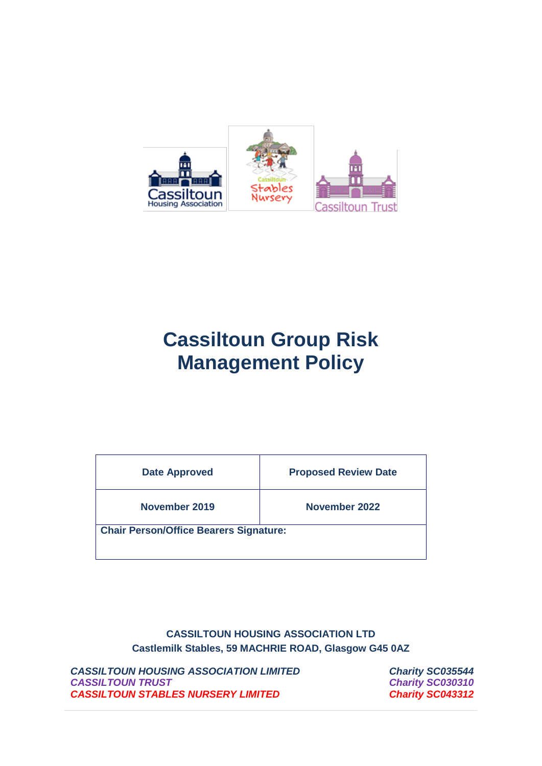

# **Cassiltoun Group Risk Management Policy**

| <b>Date Approved</b>                          | <b>Proposed Review Date</b> |
|-----------------------------------------------|-----------------------------|
| November 2019                                 | November 2022               |
| <b>Chair Person/Office Bearers Signature:</b> |                             |

**CASSILTOUN HOUSING ASSOCIATION LTD Castlemilk Stables, 59 MACHRIE ROAD, Glasgow G45 0AZ**

*CASSILTOUN HOUSING ASSOCIATION LIMITED Charity SC035544 CASSILTOUN TRUST Charity SC030310 CASSILTOUN STABLES NURSERY LIMITED Charity SC043312*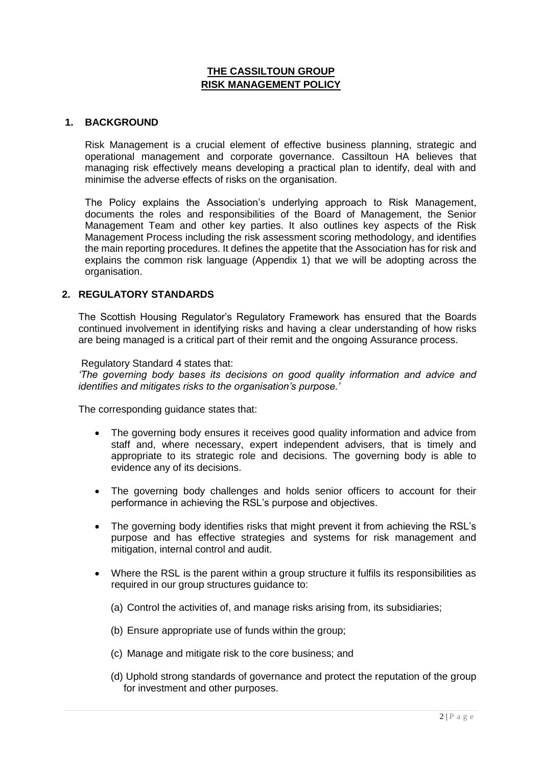## **THE CASSILTOUN GROUP RISK MANAGEMENT POLICY**

#### **1. BACKGROUND**

Risk Management is a crucial element of effective business planning, strategic and operational management and corporate governance. Cassiltoun HA believes that managing risk effectively means developing a practical plan to identify, deal with and minimise the adverse effects of risks on the organisation.

The Policy explains the Association's underlying approach to Risk Management, documents the roles and responsibilities of the Board of Management, the Senior Management Team and other key parties. It also outlines key aspects of the Risk Management Process including the risk assessment scoring methodology, and identifies the main reporting procedures. It defines the appetite that the Association has for risk and explains the common risk language (Appendix 1) that we will be adopting across the organisation.

#### **2. REGULATORY STANDARDS**

The Scottish Housing Regulator's Regulatory Framework has ensured that the Boards continued involvement in identifying risks and having a clear understanding of how risks are being managed is a critical part of their remit and the ongoing Assurance process.

#### Regulatory Standard 4 states that:

*'The governing body bases its decisions on good quality information and advice and identifies and mitigates risks to the organisation's purpose.'*

The corresponding guidance states that:

- The governing body ensures it receives good quality information and advice from staff and, where necessary, expert independent advisers, that is timely and appropriate to its strategic role and decisions. The governing body is able to evidence any of its decisions.
- The governing body challenges and holds senior officers to account for their performance in achieving the RSL's purpose and objectives.
- The governing body identifies risks that might prevent it from achieving the RSL's purpose and has effective strategies and systems for risk management and mitigation, internal control and audit.
- Where the RSL is the parent within a group structure it fulfils its responsibilities as required in our group structures guidance to:
	- (a) Control the activities of, and manage risks arising from, its subsidiaries;
	- (b) Ensure appropriate use of funds within the group;
	- (c) Manage and mitigate risk to the core business; and
	- (d) Uphold strong standards of governance and protect the reputation of the group for investment and other purposes.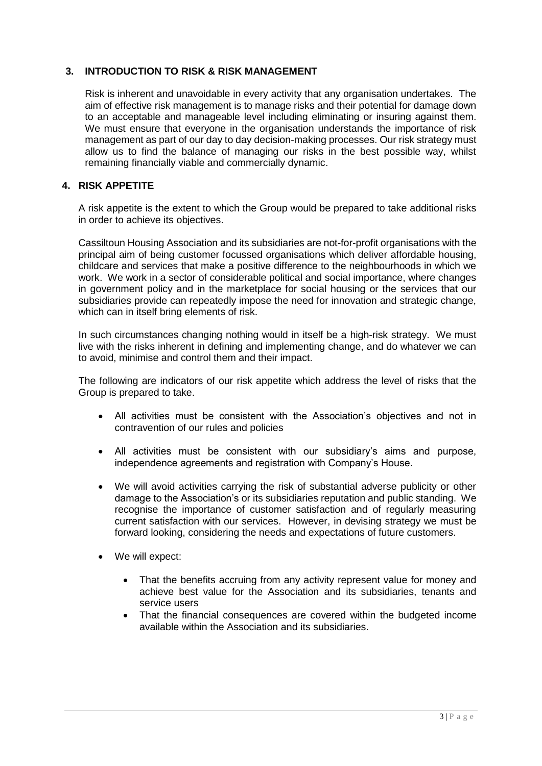## **3. INTRODUCTION TO RISK & RISK MANAGEMENT**

Risk is inherent and unavoidable in every activity that any organisation undertakes. The aim of effective risk management is to manage risks and their potential for damage down to an acceptable and manageable level including eliminating or insuring against them. We must ensure that everyone in the organisation understands the importance of risk management as part of our day to day decision-making processes. Our risk strategy must allow us to find the balance of managing our risks in the best possible way, whilst remaining financially viable and commercially dynamic.

## **4. RISK APPETITE**

A risk appetite is the extent to which the Group would be prepared to take additional risks in order to achieve its objectives.

Cassiltoun Housing Association and its subsidiaries are not-for-profit organisations with the principal aim of being customer focussed organisations which deliver affordable housing, childcare and services that make a positive difference to the neighbourhoods in which we work. We work in a sector of considerable political and social importance, where changes in government policy and in the marketplace for social housing or the services that our subsidiaries provide can repeatedly impose the need for innovation and strategic change, which can in itself bring elements of risk.

In such circumstances changing nothing would in itself be a high-risk strategy. We must live with the risks inherent in defining and implementing change, and do whatever we can to avoid, minimise and control them and their impact.

The following are indicators of our risk appetite which address the level of risks that the Group is prepared to take.

- All activities must be consistent with the Association's objectives and not in contravention of our rules and policies
- All activities must be consistent with our subsidiary's aims and purpose, independence agreements and registration with Company's House.
- We will avoid activities carrying the risk of substantial adverse publicity or other damage to the Association's or its subsidiaries reputation and public standing. We recognise the importance of customer satisfaction and of regularly measuring current satisfaction with our services. However, in devising strategy we must be forward looking, considering the needs and expectations of future customers.
- We will expect:
	- That the benefits accruing from any activity represent value for money and achieve best value for the Association and its subsidiaries, tenants and service users
	- That the financial consequences are covered within the budgeted income available within the Association and its subsidiaries.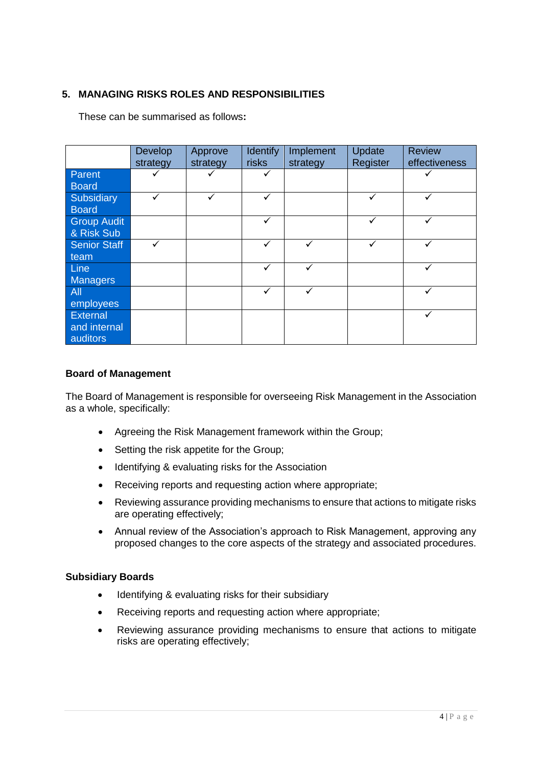# **5. MANAGING RISKS ROLES AND RESPONSIBILITIES**

These can be summarised as follows**:**

|                                      | Develop<br>strategy | Approve<br>strategy | <b>Identify</b><br>risks | Implement<br>strategy | Update<br>Register | <b>Review</b><br>effectiveness |
|--------------------------------------|---------------------|---------------------|--------------------------|-----------------------|--------------------|--------------------------------|
| Parent<br><b>Board</b>               |                     |                     | ✓                        |                       |                    |                                |
| Subsidiary<br><b>Board</b>           | ✓                   | ✓                   | ✓                        |                       | ✓                  | $\checkmark$                   |
| <b>Group Audit</b><br>& Risk Sub     |                     |                     | ✓                        |                       |                    | ✓                              |
| <b>Senior Staff</b><br>team          | ✓                   |                     | ✓                        |                       | ✓                  | ✓                              |
| Line<br><b>Managers</b>              |                     |                     | ✓                        | $\checkmark$          |                    | ✓                              |
| All<br>employees                     |                     |                     | ✓                        | $\checkmark$          |                    |                                |
| External<br>and internal<br>auditors |                     |                     |                          |                       |                    | $\checkmark$                   |

#### **Board of Management**

The Board of Management is responsible for overseeing Risk Management in the Association as a whole, specifically:

- Agreeing the Risk Management framework within the Group;
- Setting the risk appetite for the Group;
- Identifying & evaluating risks for the Association
- Receiving reports and requesting action where appropriate;
- Reviewing assurance providing mechanisms to ensure that actions to mitigate risks are operating effectively;
- Annual review of the Association's approach to Risk Management, approving any proposed changes to the core aspects of the strategy and associated procedures.

#### **Subsidiary Boards**

- Identifying & evaluating risks for their subsidiary
- Receiving reports and requesting action where appropriate;
- Reviewing assurance providing mechanisms to ensure that actions to mitigate risks are operating effectively;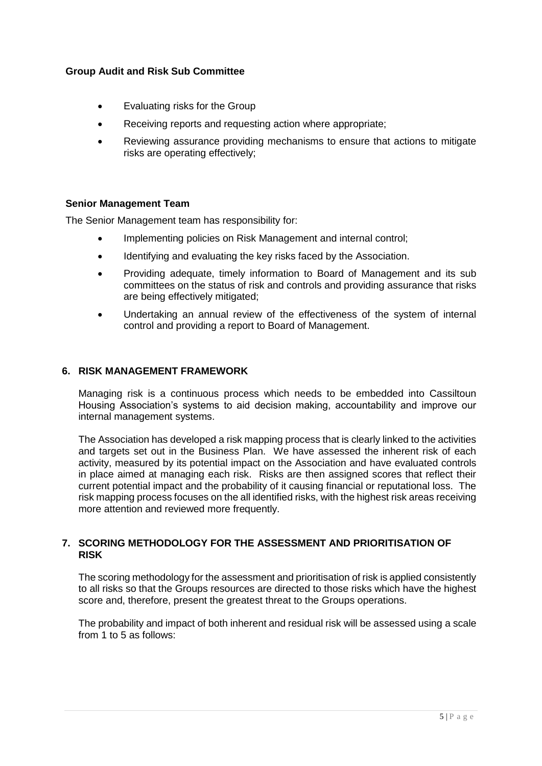## **Group Audit and Risk Sub Committee**

- Evaluating risks for the Group
- Receiving reports and requesting action where appropriate;
- Reviewing assurance providing mechanisms to ensure that actions to mitigate risks are operating effectively;

#### **Senior Management Team**

The Senior Management team has responsibility for:

- Implementing policies on Risk Management and internal control;
- Identifying and evaluating the key risks faced by the Association.
- Providing adequate, timely information to Board of Management and its sub committees on the status of risk and controls and providing assurance that risks are being effectively mitigated;
- Undertaking an annual review of the effectiveness of the system of internal control and providing a report to Board of Management.

#### **6. RISK MANAGEMENT FRAMEWORK**

Managing risk is a continuous process which needs to be embedded into Cassiltoun Housing Association's systems to aid decision making, accountability and improve our internal management systems.

The Association has developed a risk mapping process that is clearly linked to the activities and targets set out in the Business Plan. We have assessed the inherent risk of each activity, measured by its potential impact on the Association and have evaluated controls in place aimed at managing each risk. Risks are then assigned scores that reflect their current potential impact and the probability of it causing financial or reputational loss. The risk mapping process focuses on the all identified risks, with the highest risk areas receiving more attention and reviewed more frequently.

#### **7. SCORING METHODOLOGY FOR THE ASSESSMENT AND PRIORITISATION OF RISK**

The scoring methodology for the assessment and prioritisation of risk is applied consistently to all risks so that the Groups resources are directed to those risks which have the highest score and, therefore, present the greatest threat to the Groups operations.

The probability and impact of both inherent and residual risk will be assessed using a scale from 1 to 5 as follows: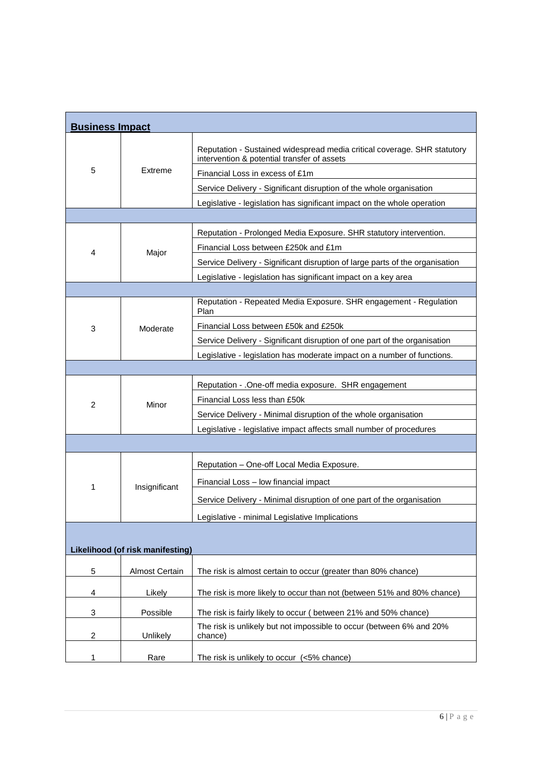| <b>Business Impact</b> |                                  |                                                                                                                         |
|------------------------|----------------------------------|-------------------------------------------------------------------------------------------------------------------------|
| 5                      |                                  | Reputation - Sustained widespread media critical coverage. SHR statutory<br>intervention & potential transfer of assets |
|                        | Extreme                          | Financial Loss in excess of £1m                                                                                         |
|                        |                                  | Service Delivery - Significant disruption of the whole organisation                                                     |
|                        |                                  | Legislative - legislation has significant impact on the whole operation                                                 |
|                        |                                  |                                                                                                                         |
|                        |                                  | Reputation - Prolonged Media Exposure. SHR statutory intervention.                                                      |
| 4                      | Major                            | Financial Loss between £250k and £1m                                                                                    |
|                        |                                  | Service Delivery - Significant disruption of large parts of the organisation                                            |
|                        |                                  | Legislative - legislation has significant impact on a key area                                                          |
|                        |                                  |                                                                                                                         |
|                        |                                  | Reputation - Repeated Media Exposure. SHR engagement - Regulation<br>Plan                                               |
| 3                      | Moderate                         | Financial Loss between £50k and £250k                                                                                   |
|                        |                                  | Service Delivery - Significant disruption of one part of the organisation                                               |
|                        |                                  | Legislative - legislation has moderate impact on a number of functions.                                                 |
|                        |                                  |                                                                                                                         |
|                        |                                  | Reputation - . One-off media exposure. SHR engagement                                                                   |
| $\overline{2}$         | Minor                            | Financial Loss less than £50k                                                                                           |
|                        |                                  | Service Delivery - Minimal disruption of the whole organisation                                                         |
|                        |                                  | Legislative - legislative impact affects small number of procedures                                                     |
|                        |                                  |                                                                                                                         |
|                        |                                  | Reputation - One-off Local Media Exposure.                                                                              |
| 1                      |                                  |                                                                                                                         |
|                        |                                  | Financial Loss - low financial impact                                                                                   |
|                        | Insignificant                    | Service Delivery - Minimal disruption of one part of the organisation                                                   |
|                        |                                  | Legislative - minimal Legislative Implications                                                                          |
|                        |                                  |                                                                                                                         |
|                        | Likelihood (of risk manifesting) |                                                                                                                         |
| 5                      | <b>Almost Certain</b>            | The risk is almost certain to occur (greater than 80% chance)                                                           |
| 4                      | Likely                           | The risk is more likely to occur than not (between 51% and 80% chance)                                                  |
| 3                      | Possible                         | The risk is fairly likely to occur (between 21% and 50% chance)                                                         |
| 2                      | Unlikely                         | The risk is unlikely but not impossible to occur (between 6% and 20%<br>chance)                                         |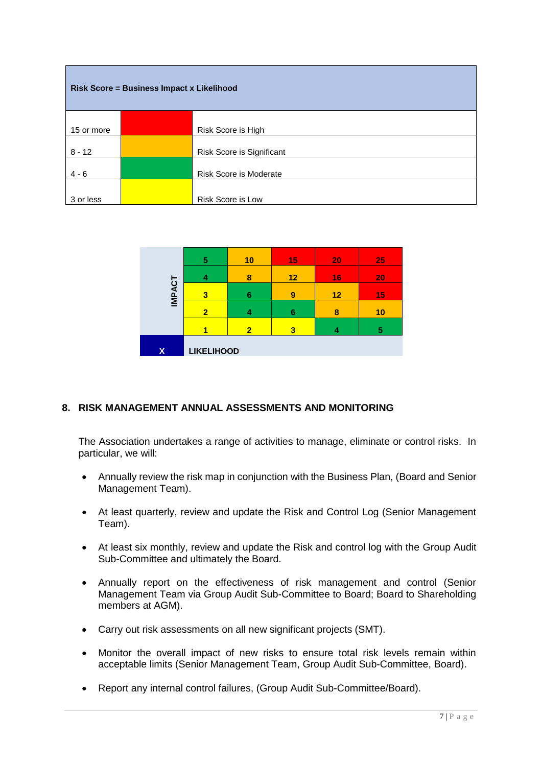| Risk Score = Business Impact x Likelihood |  |                               |  |
|-------------------------------------------|--|-------------------------------|--|
| 15 or more                                |  | Risk Score is High            |  |
|                                           |  |                               |  |
| $8 - 12$                                  |  | Risk Score is Significant     |  |
| $4 - 6$                                   |  | <b>Risk Score is Moderate</b> |  |
|                                           |  |                               |  |
| 3 or less                                 |  | <b>Risk Score is Low</b>      |  |

|               | 5                 | 10             | 15 | 20 | 25 |
|---------------|-------------------|----------------|----|----|----|
|               | 4                 | 8              | 12 | 16 | 20 |
| <b>IMPACT</b> | 3                 | 6              | 9  | 12 | 15 |
|               | $\overline{2}$    |                | 6  | 8  | 10 |
|               |                   | $\overline{2}$ | 3  |    | 5  |
| $\mathsf{X}$  | <b>LIKELIHOOD</b> |                |    |    |    |

# **8. RISK MANAGEMENT ANNUAL ASSESSMENTS AND MONITORING**

The Association undertakes a range of activities to manage, eliminate or control risks. In particular, we will:

- Annually review the risk map in conjunction with the Business Plan, (Board and Senior Management Team).
- At least quarterly, review and update the Risk and Control Log (Senior Management Team).
- At least six monthly, review and update the Risk and control log with the Group Audit Sub-Committee and ultimately the Board.
- Annually report on the effectiveness of risk management and control (Senior Management Team via Group Audit Sub-Committee to Board; Board to Shareholding members at AGM).
- Carry out risk assessments on all new significant projects (SMT).
- Monitor the overall impact of new risks to ensure total risk levels remain within acceptable limits (Senior Management Team, Group Audit Sub-Committee, Board).
- Report any internal control failures, (Group Audit Sub-Committee/Board).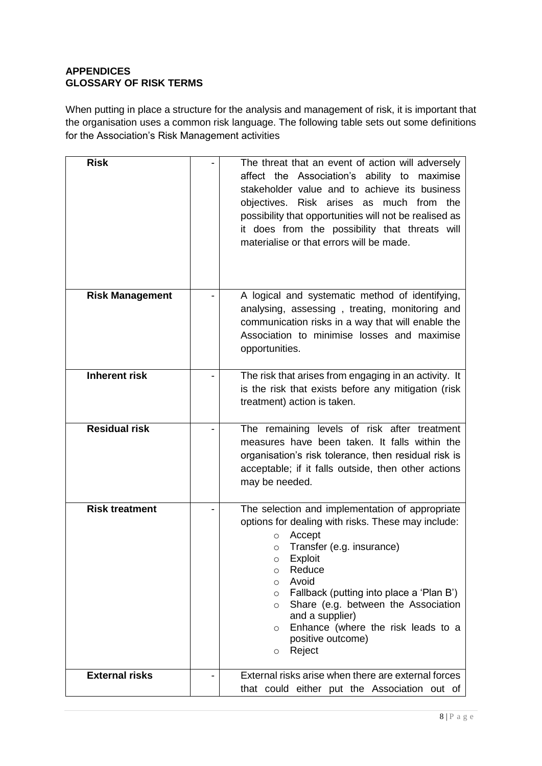# **APPENDICES GLOSSARY OF RISK TERMS**

When putting in place a structure for the analysis and management of risk, it is important that the organisation uses a common risk language. The following table sets out some definitions for the Association's Risk Management activities

| <b>Risk</b>            | The threat that an event of action will adversely<br>affect the Association's ability to<br>maximise<br>stakeholder value and to achieve its business<br>objectives. Risk arises as much from the<br>possibility that opportunities will not be realised as<br>it does from the possibility that threats will<br>materialise or that errors will be made.                                                                                                |
|------------------------|----------------------------------------------------------------------------------------------------------------------------------------------------------------------------------------------------------------------------------------------------------------------------------------------------------------------------------------------------------------------------------------------------------------------------------------------------------|
| <b>Risk Management</b> | A logical and systematic method of identifying,<br>analysing, assessing, treating, monitoring and<br>communication risks in a way that will enable the<br>Association to minimise losses and maximise<br>opportunities.                                                                                                                                                                                                                                  |
| <b>Inherent risk</b>   | The risk that arises from engaging in an activity. It<br>is the risk that exists before any mitigation (risk<br>treatment) action is taken.                                                                                                                                                                                                                                                                                                              |
| <b>Residual risk</b>   | The remaining levels of risk after treatment<br>measures have been taken. It falls within the<br>organisation's risk tolerance, then residual risk is<br>acceptable; if it falls outside, then other actions<br>may be needed.                                                                                                                                                                                                                           |
| <b>Risk treatment</b>  | The selection and implementation of appropriate<br>options for dealing with risks. These may include:<br>Accept<br>$\circ$<br>Transfer (e.g. insurance)<br>$\circ$<br>Exploit<br>$\circ$<br>Reduce<br>$\circ$<br>Avoid<br>$\circ$<br>Fallback (putting into place a 'Plan B')<br>$\circ$<br>Share (e.g. between the Association<br>$\circ$<br>and a supplier)<br>Enhance (where the risk leads to a<br>$\circ$<br>positive outcome)<br>Reject<br>$\circ$ |
| <b>External risks</b>  | External risks arise when there are external forces<br>that could either put the Association out of                                                                                                                                                                                                                                                                                                                                                      |